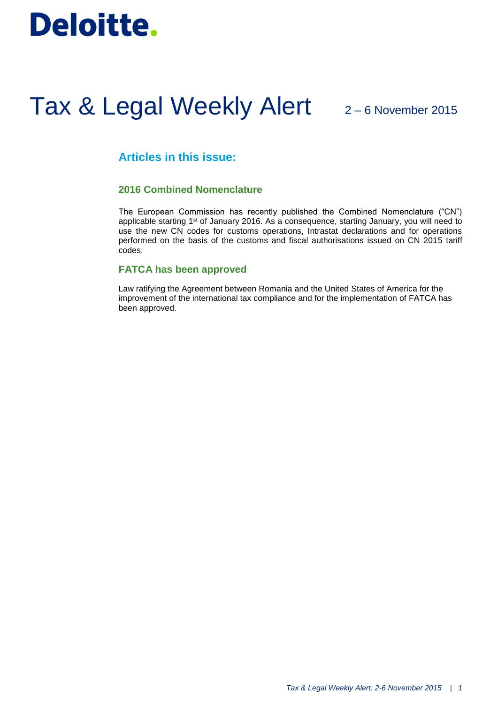# **Deloitte.**

# Tax & Legal Weekly Alert 2-6 November 2015

# **Articles in this issue:**

## **2016 Combined Nomenclature**

The European Commission has recently published the Combined Nomenclature ("CN") applicable starting 1<sup>st</sup> of January 2016. As a consequence, starting January, you will need to use the new CN codes for customs operations, Intrastat declarations and for operations performed on the basis of the customs and fiscal authorisations issued on CN 2015 tariff codes.

### **FATCA has been approved**

Law ratifying the Agreement between Romania and the United States of America for the improvement of the international tax compliance and for the implementation of FATCA has been approved.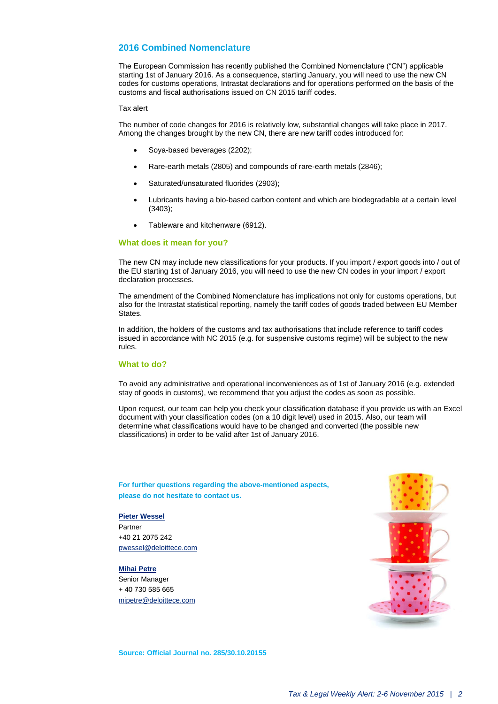### **2016 Combined Nomenclature**

The European Commission has recently published the Combined Nomenclature ("CN") applicable starting 1st of January 2016. As a consequence, starting January, you will need to use the new CN codes for customs operations, Intrastat declarations and for operations performed on the basis of the customs and fiscal authorisations issued on CN 2015 tariff codes.

#### Tax alert

The number of code changes for 2016 is relatively low, substantial changes will take place in 2017. Among the changes brought by the new CN, there are new tariff codes introduced for:

- Soya-based beverages (2202);
- Rare-earth metals (2805) and compounds of rare-earth metals (2846);
- Saturated/unsaturated fluorides (2903);
- Lubricants having a bio-based carbon content and which are biodegradable at a certain level (3403);
- Tableware and kitchenware (6912).

#### **What does it mean for you?**

The new CN may include new classifications for your products. If you import / export goods into / out of the EU starting 1st of January 2016, you will need to use the new CN codes in your import / export declaration processes.

The amendment of the Combined Nomenclature has implications not only for customs operations, but also for the Intrastat statistical reporting, namely the tariff codes of goods traded between EU Member **States** 

In addition, the holders of the customs and tax authorisations that include reference to tariff codes issued in accordance with NC 2015 (e.g. for suspensive customs regime) will be subject to the new rules.

#### **What to do?**

To avoid any administrative and operational inconveniences as of 1st of January 2016 (e.g. extended stay of goods in customs), we recommend that you adjust the codes as soon as possible.

Upon request, our team can help you check your classification database if you provide us with an Excel document with your classification codes (on a 10 digit level) used in 2015. Also, our team will determine what classifications would have to be changed and converted (the possible new classifications) in order to be valid after 1st of January 2016.

**For further questions regarding the above-mentioned aspects, please do not hesitate to contact us.**

#### **Pieter Wessel**

Partner +40 21 2075 242 [pwessel@deloittece.com](mailto:pwessel@deloittece.com)

#### **[Mihai Petre](mailto:mipetre@deloittece.com)**

Senior Manager + 40 730 585 665 [mipetre@deloittece.com](mailto:mipetre@deloittece.com)



**Source: Official Journal no. 285/30.10.20155**